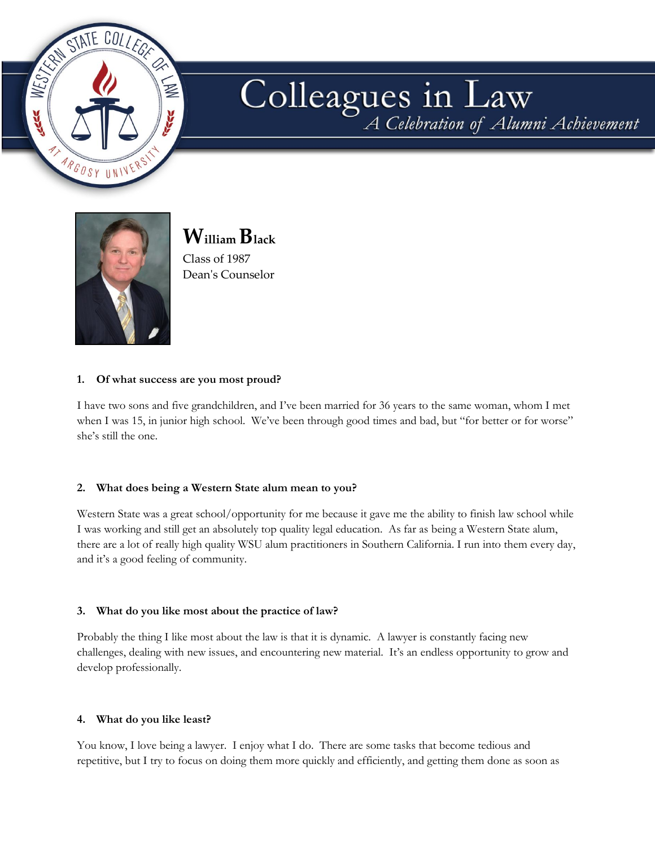

# Colleagues in Law



**William Black** Class of 1987

Dean's Counselor

# **1. Of what success are you most proud?**

I have two sons and five grandchildren, and I've been married for 36 years to the same woman, whom I met when I was 15, in junior high school. We've been through good times and bad, but "for better or for worse" she's still the one.

# **2. What does being a Western State alum mean to you?**

Western State was a great school/opportunity for me because it gave me the ability to finish law school while I was working and still get an absolutely top quality legal education. As far as being a Western State alum, there are a lot of really high quality WSU alum practitioners in Southern California. I run into them every day, and it's a good feeling of community.

## **3. What do you like most about the practice of law?**

Probably the thing I like most about the law is that it is dynamic. A lawyer is constantly facing new challenges, dealing with new issues, and encountering new material. It's an endless opportunity to grow and develop professionally.

## **4. What do you like least?**

You know, I love being a lawyer. I enjoy what I do. There are some tasks that become tedious and repetitive, but I try to focus on doing them more quickly and efficiently, and getting them done as soon as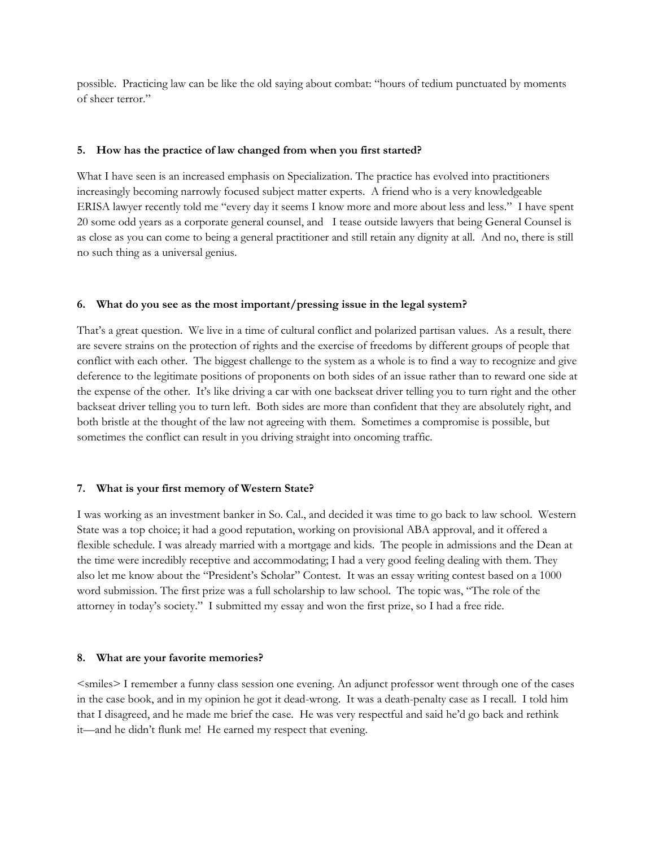possible. Practicing law can be like the old saying about combat: "hours of tedium punctuated by moments of sheer terror."

#### **5. How has the practice of law changed from when you first started?**

What I have seen is an increased emphasis on Specialization. The practice has evolved into practitioners increasingly becoming narrowly focused subject matter experts. A friend who is a very knowledgeable ERISA lawyer recently told me "every day it seems I know more and more about less and less." I have spent 20 some odd years as a corporate general counsel, and I tease outside lawyers that being General Counsel is as close as you can come to being a general practitioner and still retain any dignity at all. And no, there is still no such thing as a universal genius.

#### **6. What do you see as the most important/pressing issue in the legal system?**

That's a great question. We live in a time of cultural conflict and polarized partisan values. As a result, there are severe strains on the protection of rights and the exercise of freedoms by different groups of people that conflict with each other. The biggest challenge to the system as a whole is to find a way to recognize and give deference to the legitimate positions of proponents on both sides of an issue rather than to reward one side at the expense of the other. It's like driving a car with one backseat driver telling you to turn right and the other backseat driver telling you to turn left. Both sides are more than confident that they are absolutely right, and both bristle at the thought of the law not agreeing with them. Sometimes a compromise is possible, but sometimes the conflict can result in you driving straight into oncoming traffic.

## **7. What is your first memory of Western State?**

I was working as an investment banker in So. Cal., and decided it was time to go back to law school. Western State was a top choice; it had a good reputation, working on provisional ABA approval, and it offered a flexible schedule. I was already married with a mortgage and kids. The people in admissions and the Dean at the time were incredibly receptive and accommodating; I had a very good feeling dealing with them. They also let me know about the "President's Scholar" Contest. It was an essay writing contest based on a 1000 word submission. The first prize was a full scholarship to law school. The topic was, "The role of the attorney in today's society." I submitted my essay and won the first prize, so I had a free ride.

#### **8. What are your favorite memories?**

<smiles> I remember a funny class session one evening. An adjunct professor went through one of the cases in the case book, and in my opinion he got it dead-wrong. It was a death-penalty case as I recall. I told him that I disagreed, and he made me brief the case. He was very respectful and said he'd go back and rethink it—and he didn't flunk me! He earned my respect that evening.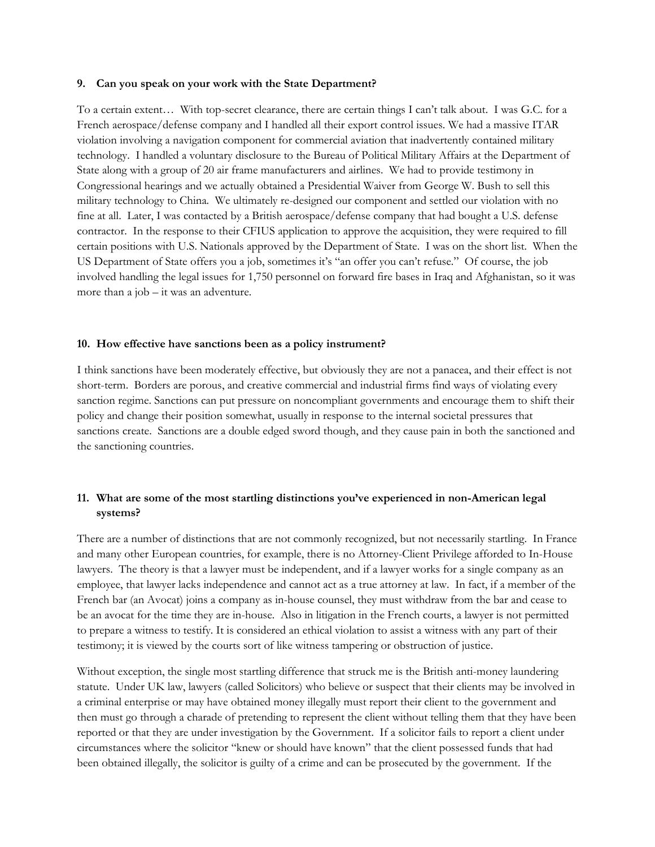#### **9. Can you speak on your work with the State Department?**

To a certain extent… With top-secret clearance, there are certain things I can't talk about. I was G.C. for a French aerospace/defense company and I handled all their export control issues. We had a massive ITAR violation involving a navigation component for commercial aviation that inadvertently contained military technology. I handled a voluntary disclosure to the Bureau of Political Military Affairs at the Department of State along with a group of 20 air frame manufacturers and airlines. We had to provide testimony in Congressional hearings and we actually obtained a Presidential Waiver from George W. Bush to sell this military technology to China. We ultimately re-designed our component and settled our violation with no fine at all. Later, I was contacted by a British aerospace/defense company that had bought a U.S. defense contractor. In the response to their CFIUS application to approve the acquisition, they were required to fill certain positions with U.S. Nationals approved by the Department of State. I was on the short list. When the US Department of State offers you a job, sometimes it's "an offer you can't refuse." Of course, the job involved handling the legal issues for 1,750 personnel on forward fire bases in Iraq and Afghanistan, so it was more than a job – it was an adventure.

#### **10. How effective have sanctions been as a policy instrument?**

I think sanctions have been moderately effective, but obviously they are not a panacea, and their effect is not short-term. Borders are porous, and creative commercial and industrial firms find ways of violating every sanction regime. Sanctions can put pressure on noncompliant governments and encourage them to shift their policy and change their position somewhat, usually in response to the internal societal pressures that sanctions create. Sanctions are a double edged sword though, and they cause pain in both the sanctioned and the sanctioning countries.

# **11. What are some of the most startling distinctions you've experienced in non-American legal systems?**

There are a number of distinctions that are not commonly recognized, but not necessarily startling. In France and many other European countries, for example, there is no Attorney-Client Privilege afforded to In-House lawyers. The theory is that a lawyer must be independent, and if a lawyer works for a single company as an employee, that lawyer lacks independence and cannot act as a true attorney at law. In fact, if a member of the French bar (an Avocat) joins a company as in-house counsel, they must withdraw from the bar and cease to be an avocat for the time they are in-house. Also in litigation in the French courts, a lawyer is not permitted to prepare a witness to testify. It is considered an ethical violation to assist a witness with any part of their testimony; it is viewed by the courts sort of like witness tampering or obstruction of justice.

Without exception, the single most startling difference that struck me is the British anti-money laundering statute. Under UK law, lawyers (called Solicitors) who believe or suspect that their clients may be involved in a criminal enterprise or may have obtained money illegally must report their client to the government and then must go through a charade of pretending to represent the client without telling them that they have been reported or that they are under investigation by the Government. If a solicitor fails to report a client under circumstances where the solicitor "knew or should have known" that the client possessed funds that had been obtained illegally, the solicitor is guilty of a crime and can be prosecuted by the government. If the